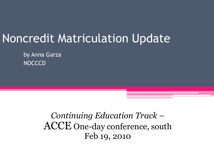## Noncredit Matriculation Update

by Anna Garza **NOCCCD** 

> *Continuing Education Track* – ACCE One-day conference, south Feb 19, 2010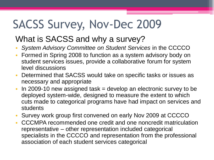# SACSS Survey, Nov-Dec 2009

#### What is SACSS and why a survey?

- *System Advisory Committee on Student Services* in the CCCCO
- Formed in Spring 2008 to function as a system advisory body on student services issues, provide a collaborative forum for system level discussions
- Determined that SACSS would take on specific tasks or issues as necessary and appropriate
- $\cdot$  In 2009-10 new assigned task = develop an electronic survey to be deployed system-wide, designed to measure the extent to which cuts made to categorical programs have had impact on services and students
- Survey work group first convened on early Nov 2009 at CCCCO
- CCCMPA recommended one credit and one noncredit matriculation representative – other representation included categorical specialists in the CCCCO and representation from the professional association of each student services categorical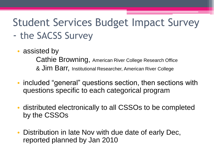# Student Services Budget Impact Survey

- the SACSS Survey
	- assisted by

Cathie Browning, American River College Research Office & Jim Barr, Institutional Researcher, American River College

- included "general" questions section, then sections with questions specific to each categorical program
- distributed electronically to all CSSOs to be completed by the CSSOs
- Distribution in late Nov with due date of early Dec, reported planned by Jan 2010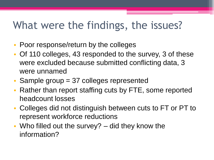### What were the findings, the issues?

- Poor response/return by the colleges
- Of 110 colleges, 43 responded to the survey, 3 of these were excluded because submitted conflicting data, 3 were unnamed
- Sample group = 37 colleges represented
- Rather than report staffing cuts by FTE, some reported headcount losses
- Colleges did not distinguish between cuts to FT or PT to represent workforce reductions
- Who filled out the survey? did they know the information?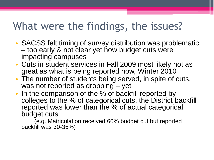### What were the findings, the issues?

- SACSS felt timing of survey distribution was problematic – too early & not clear yet how budget cuts were impacting campuses
- Cuts in student services in Fall 2009 most likely not as great as what is being reported now, Winter 2010
- The number of students being served, in spite of cuts, was not reported as dropping – yet
- In the comparison of the % of backfill reported by colleges to the % of categorical cuts, the District backfill reported was lower than the % of actual categorical budget cuts

(e.g. Matriculation received 60% budget cut but reported backfill was 30-35%)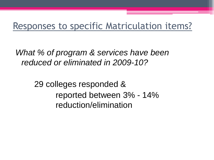### Responses to specific Matriculation items?

*What % of program & services have been reduced or eliminated in 2009-10?*

> 29 colleges responded & reported between 3% - 14% reduction/elimination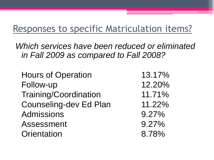### Responses to specific Matriculation items?

*Which services have been reduced or eliminated in Fall 2009 as compared to Fall 2008?*

Hours of Operation 13.17% Follow-up 12.20% Training/Coordination 11.71% Counseling-dev Ed Plan 11.22% Admissions 9.27% Assessment 9.27% Orientation 8.78%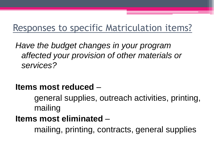### Responses to specific Matriculation items?

*Have the budget changes in your program affected your provision of other materials or services?*

#### **Items most reduced** –

general supplies, outreach activities, printing, mailing

#### **Items most eliminated** –

mailing, printing, contracts, general supplies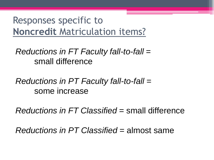*Reductions in FT Faculty fall-to-fall* = small difference

*Reductions in PT Faculty fall-to-fall* = some increase

*Reductions in FT Classified* = small difference

*Reductions in PT Classified* = almost same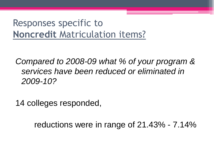*Compared to 2008-09 what % of your program & services have been reduced or eliminated in 2009-10?*

14 colleges responded,

reductions were in range of 21.43% - 7.14%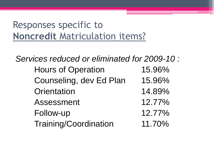*Services reduced or eliminated for 2009-10 :* Hours of Operation 15.96% Counseling, dev Ed Plan 15.96% Orientation 14.89% Assessment 12.77% Follow-up 12.77% Training/Coordination 11.70%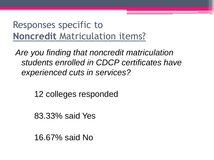*Are you finding that noncredit matriculation students enrolled in CDCP certificates have experienced cuts in services?*

12 colleges responded

83.33% said Yes

16.67% said No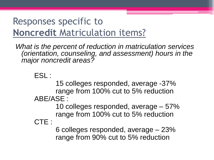*What is the percent of reduction in matriculation services (orientation, counseling, and assessment) hours in the major noncredit areas?*

#### ESL :

15 colleges responded, average -37% range from 100% cut to 5% reduction ABE/ASE :

> 10 colleges responded, average – 57% range from 100% cut to 5% reduction

#### CTE :

6 colleges responded, average – 23% range from 90% cut to 5% reduction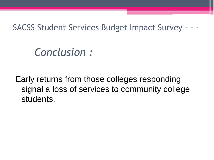SACSS Student Services Budget Impact Survey - - -

### *Conclusion :*

Early returns from those colleges responding signal a loss of services to community college students.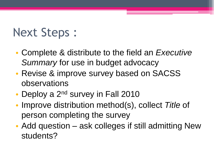# Next Steps :

- Complete & distribute to the field an *Executive Summary* for use in budget advocacy
- Revise & improve survey based on SACSS observations
- Deploy a  $2^{nd}$  survey in Fall 2010
- Improve distribution method(s), collect *Title* of person completing the survey
- Add question ask colleges if still admitting New students?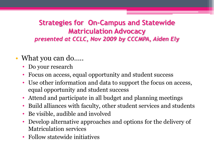#### **Strategies for On-Campus and Statewide Matriculation Advocacy** *presented at CCLC, Nov 2009 by CCCMPA, Aiden Ely*

- What you can do.....
	- Do your research
	- Focus on access, equal opportunity and student success
	- Use other information and data to support the focus on access, equal opportunity and student success
	- Attend and participate in all budget and planning meetings
	- Build alliances with faculty, other student services and students
	- Be visible, audible and involved
	- Develop alternative approaches and options for the delivery of Matriculation services
	- Follow statewide initiatives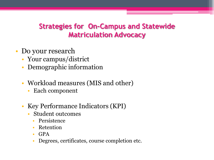- Do your research
	- Your campus/district
	- Demographic information
	- Workload measures (MIS and other)
		- Each component
	- Key Performance Indicators (KPI)
		- Student outcomes
			- Persistence
			- Retention
			- GPA
			- Degrees, certificates, course completion etc.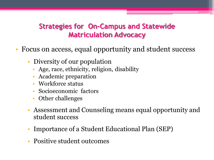- Focus on access, equal opportunity and student success
	- Diversity of our population
		- Age, race, ethnicity, religion, disability
		- Academic preparation
		- Workforce status
		- Socioeconomic factors
		- Other challenges
	- Assessment and Counseling means equal opportunity and student success
	- Importance of a Student Educational Plan (SEP)
	- Positive student outcomes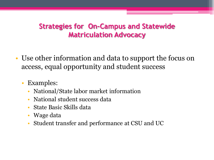- Use other information and data to support the focus on access, equal opportunity and student success
	- Examples:
		- National/State labor market information
		- National student success data
		- State Basic Skills data
		- Wage data
		- Student transfer and performance at CSU and UC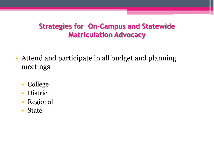- Attend and participate in all budget and planning meetings
	- College
	- District
	- Regional
	- State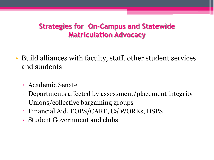- Build alliances with faculty, staff, other student services and students
	- Academic Senate
	- Departments affected by assessment/placement integrity
	- Unions/collective bargaining groups
	- Financial Aid, EOPS/CARE, CalWORKs, DSPS
	- Student Government and clubs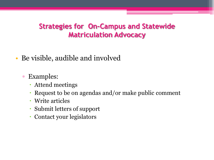- Be visible, audible and involved
	- Examples:
		- Attend meetings
		- Request to be on agendas and/or make public comment
		- Write articles
		- Submit letters of support
		- Contact your legislators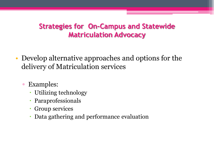- Develop alternative approaches and options for the delivery of Matriculation services
	- Examples:
		- Utilizing technology
		- Paraprofessionals
		- Group services
		- Data gathering and performance evaluation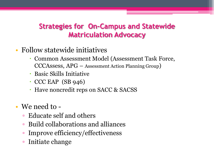- Follow statewide initiatives
	- Common Assessment Model (Assessment Task Force, CCCAssess, APG – Assessment Action Planning Group)
	- Basic Skills Initiative
	- $\cdot$  CCC EAP (SB 946)
	- Have noncredit reps on SACC & SACSS
- We need to
	- Educate self and others
	- Build collaborations and alliances
	- Improve efficiency/effectiveness
	- Initiate change